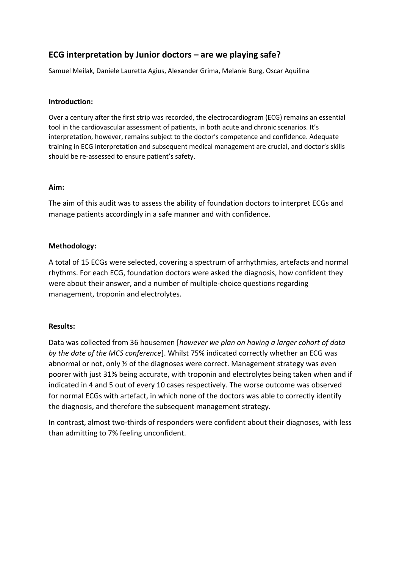# **ECG interpretation by Junior doctors – are we playing safe?**

Samuel Meilak, Daniele Lauretta Agius, Alexander Grima, Melanie Burg, Oscar Aquilina

## **Introduction:**

Over a century after the first strip was recorded, the electrocardiogram (ECG) remains an essential tool in the cardiovascular assessment of patients, in both acute and chronic scenarios. It's interpretation, however, remains subject to the doctor's competence and confidence. Adequate training in ECG interpretation and subsequent medical management are crucial, and doctor's skills should be re-assessed to ensure patient's safety.

#### **Aim:**

The aim of this audit was to assess the ability of foundation doctors to interpret ECGs and manage patients accordingly in a safe manner and with confidence.

#### **Methodology:**

A total of 15 ECGs were selected, covering a spectrum of arrhythmias, artefacts and normal rhythms. For each ECG, foundation doctors were asked the diagnosis, how confident they were about their answer, and a number of multiple-choice questions regarding management, troponin and electrolytes.

## **Results:**

Data was collected from 36 housemen [*however we plan on having a larger cohort of data by the date of the MCS conference*]. Whilst 75% indicated correctly whether an ECG was abnormal or not, only ½ of the diagnoses were correct. Management strategy was even poorer with just 31% being accurate, with troponin and electrolytes being taken when and if indicated in 4 and 5 out of every 10 cases respectively. The worse outcome was observed for normal ECGs with artefact, in which none of the doctors was able to correctly identify the diagnosis, and therefore the subsequent management strategy.

In contrast, almost two-thirds of responders were confident about their diagnoses, with less than admitting to 7% feeling unconfident.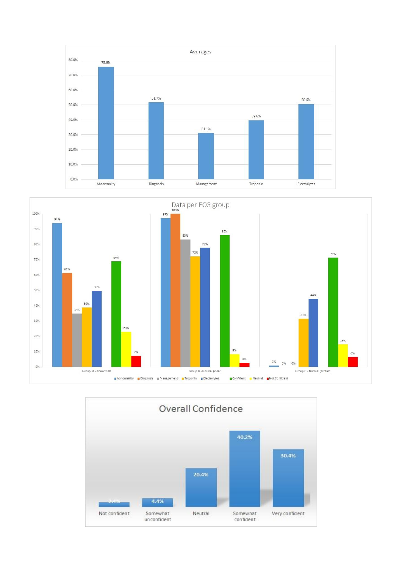